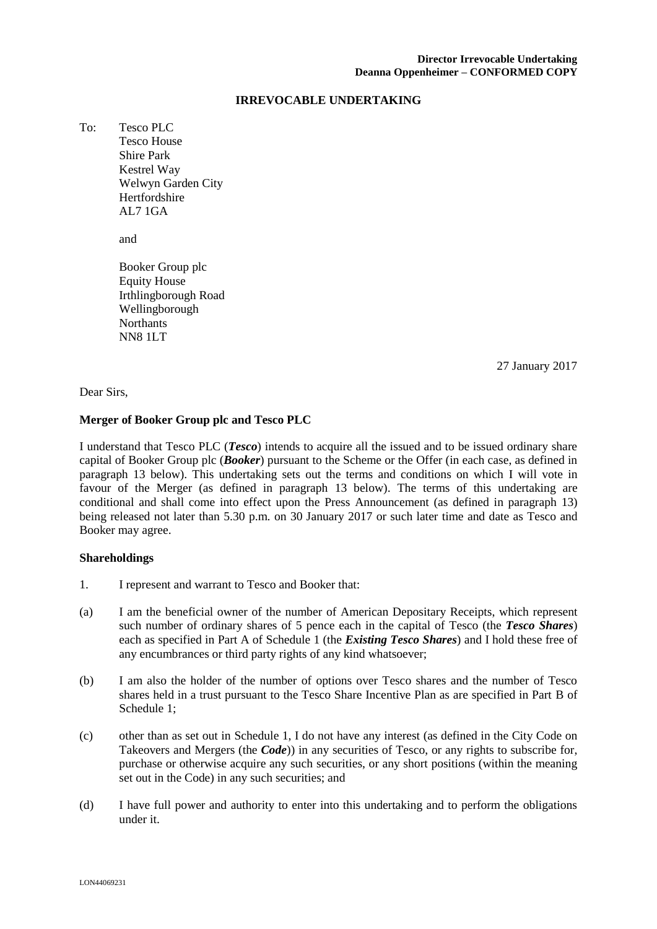#### **IRREVOCABLE UNDERTAKING**

To: Tesco PLC Tesco House Shire Park Kestrel Way Welwyn Garden City Hertfordshire AL7 1GA

and

Booker Group plc Equity House Irthlingborough Road Wellingborough **Northants** NN8 1LT

\_\_\_\_\_ January 2017 27 27 January 2017

Dear Sirs,

#### **Merger of Booker Group plc and Tesco PLC**

I understand that Tesco PLC (*Tesco*) intends to acquire all the issued and to be issued ordinary share capital of Booker Group plc (*Booker*) pursuant to the Scheme or the Offer (in each case, as defined in paragraph 13 below). This undertaking sets out the terms and conditions on which I will vote in favour of the Merger (as defined in paragraph 13 below). The terms of this undertaking are conditional and shall come into effect upon the Press Announcement (as defined in paragraph 13) being released not later than 5.30 p.m. on 30 January 2017 or such later time and date as Tesco and Booker may agree.

#### **Shareholdings**

- 1. I represent and warrant to Tesco and Booker that:
- (a) I am the beneficial owner of the number of American Depositary Receipts, which represent such number of ordinary shares of 5 pence each in the capital of Tesco (the *Tesco Shares*) each as specified in Part A of Schedule 1 (the *Existing Tesco Shares*) and I hold these free of any encumbrances or third party rights of any kind whatsoever;
- (b) I am also the holder of the number of options over Tesco shares and the number of Tesco shares held in a trust pursuant to the Tesco Share Incentive Plan as are specified in Part B of Schedule 1;
- (c) other than as set out in Schedule 1, I do not have any interest (as defined in the City Code on Takeovers and Mergers (the *Code*)) in any securities of Tesco, or any rights to subscribe for, purchase or otherwise acquire any such securities, or any short positions (within the meaning set out in the Code) in any such securities; and
- (d) I have full power and authority to enter into this undertaking and to perform the obligations under it.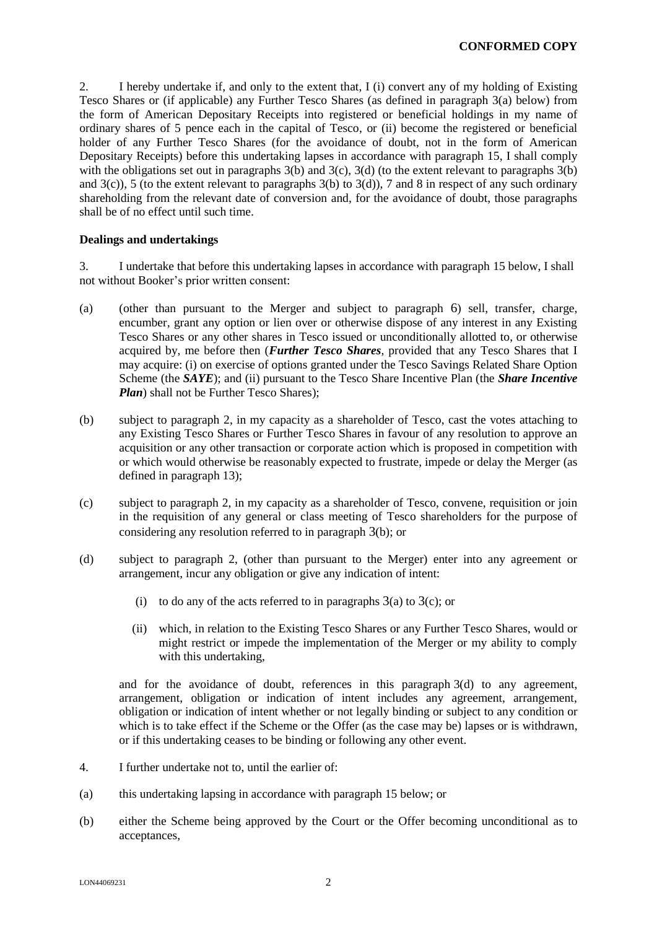2. I hereby undertake if, and only to the extent that, I (i) convert any of my holding of Existing Tesco Shares or (if applicable) any Further Tesco Shares (as defined in paragraph 3(a) below) from the form of American Depositary Receipts into registered or beneficial holdings in my name of ordinary shares of 5 pence each in the capital of Tesco, or (ii) become the registered or beneficial holder of any Further Tesco Shares (for the avoidance of doubt, not in the form of American Depositary Receipts) before this undertaking lapses in accordance with paragraph 15, I shall comply with the obligations set out in paragraphs  $3(b)$  and  $3(c)$ ,  $3(d)$  (to the extent relevant to paragraphs  $3(b)$ ) and  $3(c)$ ), 5 (to the extent relevant to paragraphs  $3(b)$  to  $3(d)$ ), 7 and 8 in respect of any such ordinary shareholding from the relevant date of conversion and, for the avoidance of doubt, those paragraphs shall be of no effect until such time.

## **Dealings and undertakings**

3. I undertake that before this undertaking lapses in accordance with paragraph 15 below, I shall not without Booker's prior written consent:

- (a) (other than pursuant to the Merger and subject to paragraph 6) sell, transfer, charge, encumber, grant any option or lien over or otherwise dispose of any interest in any Existing Tesco Shares or any other shares in Tesco issued or unconditionally allotted to, or otherwise acquired by, me before then (*Further Tesco Shares*, provided that any Tesco Shares that I may acquire: (i) on exercise of options granted under the Tesco Savings Related Share Option Scheme (the *SAYE*); and (ii) pursuant to the Tesco Share Incentive Plan (the *Share Incentive Plan*) shall not be Further Tesco Shares);
- (b) subject to paragraph 2, in my capacity as a shareholder of Tesco, cast the votes attaching to any Existing Tesco Shares or Further Tesco Shares in favour of any resolution to approve an acquisition or any other transaction or corporate action which is proposed in competition with or which would otherwise be reasonably expected to frustrate, impede or delay the Merger (as defined in paragraph 13);
- (c) subject to paragraph 2, in my capacity as a shareholder of Tesco, convene, requisition or join in the requisition of any general or class meeting of Tesco shareholders for the purpose of considering any resolution referred to in paragraph 3(b); or
- (d) subject to paragraph 2, (other than pursuant to the Merger) enter into any agreement or arrangement, incur any obligation or give any indication of intent:
	- (i) to do any of the acts referred to in paragraphs  $3(a)$  to  $3(c)$ ; or
	- (ii) which, in relation to the Existing Tesco Shares or any Further Tesco Shares, would or might restrict or impede the implementation of the Merger or my ability to comply with this undertaking,

and for the avoidance of doubt, references in this paragraph 3(d) to any agreement, arrangement, obligation or indication of intent includes any agreement, arrangement, obligation or indication of intent whether or not legally binding or subject to any condition or which is to take effect if the Scheme or the Offer (as the case may be) lapses or is withdrawn, or if this undertaking ceases to be binding or following any other event.

- 4. I further undertake not to, until the earlier of:
- (a) this undertaking lapsing in accordance with paragraph 15 below; or
- (b) either the Scheme being approved by the Court or the Offer becoming unconditional as to acceptances,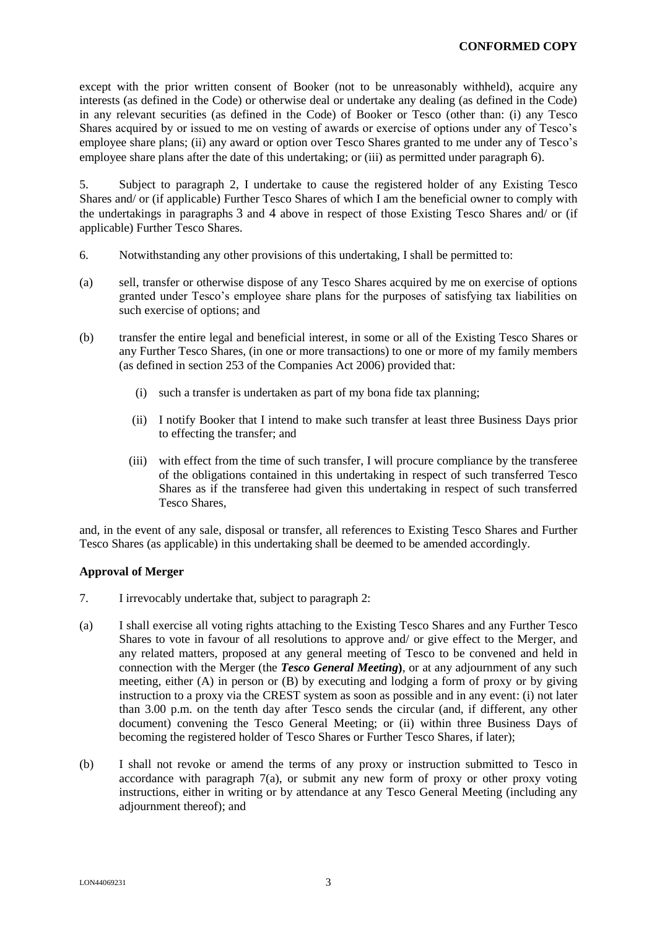except with the prior written consent of Booker (not to be unreasonably withheld), acquire any interests (as defined in the Code) or otherwise deal or undertake any dealing (as defined in the Code) in any relevant securities (as defined in the Code) of Booker or Tesco (other than: (i) any Tesco Shares acquired by or issued to me on vesting of awards or exercise of options under any of Tesco's employee share plans; (ii) any award or option over Tesco Shares granted to me under any of Tesco's employee share plans after the date of this undertaking; or (iii) as permitted under paragraph 6).

5. Subject to paragraph 2, I undertake to cause the registered holder of any Existing Tesco Shares and/ or (if applicable) Further Tesco Shares of which I am the beneficial owner to comply with the undertakings in paragraphs 3 and 4 above in respect of those Existing Tesco Shares and/ or (if applicable) Further Tesco Shares.

- 6. Notwithstanding any other provisions of this undertaking, I shall be permitted to:
- (a) sell, transfer or otherwise dispose of any Tesco Shares acquired by me on exercise of options granted under Tesco's employee share plans for the purposes of satisfying tax liabilities on such exercise of options; and
- (b) transfer the entire legal and beneficial interest, in some or all of the Existing Tesco Shares or any Further Tesco Shares, (in one or more transactions) to one or more of my family members (as defined in section 253 of the Companies Act 2006) provided that:
	- (i) such a transfer is undertaken as part of my bona fide tax planning;
	- (ii) I notify Booker that I intend to make such transfer at least three Business Days prior to effecting the transfer; and
	- (iii) with effect from the time of such transfer, I will procure compliance by the transferee of the obligations contained in this undertaking in respect of such transferred Tesco Shares as if the transferee had given this undertaking in respect of such transferred Tesco Shares,

and, in the event of any sale, disposal or transfer, all references to Existing Tesco Shares and Further Tesco Shares (as applicable) in this undertaking shall be deemed to be amended accordingly.

## **Approval of Merger**

- 7. I irrevocably undertake that, subject to paragraph 2:
- (a) I shall exercise all voting rights attaching to the Existing Tesco Shares and any Further Tesco Shares to vote in favour of all resolutions to approve and/ or give effect to the Merger, and any related matters, proposed at any general meeting of Tesco to be convened and held in connection with the Merger (the *Tesco General Meeting***)**, or at any adjournment of any such meeting, either (A) in person or (B) by executing and lodging a form of proxy or by giving instruction to a proxy via the CREST system as soon as possible and in any event: (i) not later than 3.00 p.m. on the tenth day after Tesco sends the circular (and, if different, any other document) convening the Tesco General Meeting; or (ii) within three Business Days of becoming the registered holder of Tesco Shares or Further Tesco Shares, if later);
- (b) I shall not revoke or amend the terms of any proxy or instruction submitted to Tesco in accordance with paragraph  $7(a)$ , or submit any new form of proxy or other proxy voting instructions, either in writing or by attendance at any Tesco General Meeting (including any adjournment thereof); and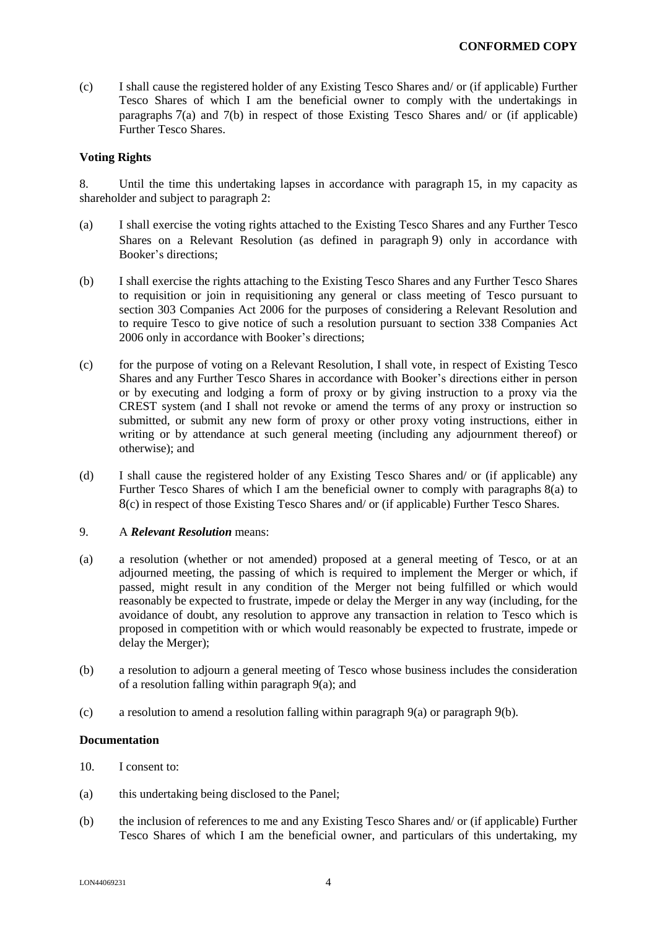(c) I shall cause the registered holder of any Existing Tesco Shares and/ or (if applicable) Further Tesco Shares of which I am the beneficial owner to comply with the undertakings in paragraphs 7(a) and 7(b) in respect of those Existing Tesco Shares and/ or (if applicable) Further Tesco Shares.

#### **Voting Rights**

8. Until the time this undertaking lapses in accordance with paragraph 15, in my capacity as shareholder and subject to paragraph 2:

- (a) I shall exercise the voting rights attached to the Existing Tesco Shares and any Further Tesco Shares on a Relevant Resolution (as defined in paragraph 9) only in accordance with Booker's directions;
- (b) I shall exercise the rights attaching to the Existing Tesco Shares and any Further Tesco Shares to requisition or join in requisitioning any general or class meeting of Tesco pursuant to section 303 Companies Act 2006 for the purposes of considering a Relevant Resolution and to require Tesco to give notice of such a resolution pursuant to section 338 Companies Act 2006 only in accordance with Booker's directions;
- (c) for the purpose of voting on a Relevant Resolution, I shall vote, in respect of Existing Tesco Shares and any Further Tesco Shares in accordance with Booker's directions either in person or by executing and lodging a form of proxy or by giving instruction to a proxy via the CREST system (and I shall not revoke or amend the terms of any proxy or instruction so submitted, or submit any new form of proxy or other proxy voting instructions, either in writing or by attendance at such general meeting (including any adjournment thereof) or otherwise); and
- (d) I shall cause the registered holder of any Existing Tesco Shares and/ or (if applicable) any Further Tesco Shares of which I am the beneficial owner to comply with paragraphs 8(a) to 8(c) in respect of those Existing Tesco Shares and/ or (if applicable) Further Tesco Shares.

#### 9. A *Relevant Resolution* means:

- (a) a resolution (whether or not amended) proposed at a general meeting of Tesco, or at an adjourned meeting, the passing of which is required to implement the Merger or which, if passed, might result in any condition of the Merger not being fulfilled or which would reasonably be expected to frustrate, impede or delay the Merger in any way (including, for the avoidance of doubt, any resolution to approve any transaction in relation to Tesco which is proposed in competition with or which would reasonably be expected to frustrate, impede or delay the Merger);
- (b) a resolution to adjourn a general meeting of Tesco whose business includes the consideration of a resolution falling within paragraph 9(a); and
- (c) a resolution to amend a resolution falling within paragraph  $9(a)$  or paragraph  $9(b)$ .

#### **Documentation**

- 10. I consent to:
- (a) this undertaking being disclosed to the Panel;
- (b) the inclusion of references to me and any Existing Tesco Shares and/ or (if applicable) Further Tesco Shares of which I am the beneficial owner, and particulars of this undertaking, my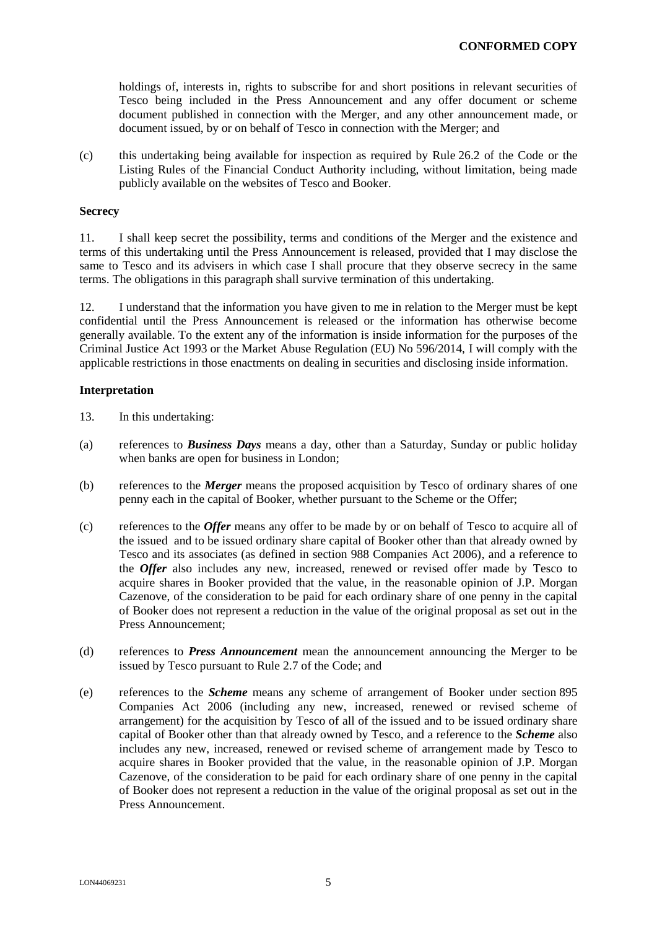holdings of, interests in, rights to subscribe for and short positions in relevant securities of Tesco being included in the Press Announcement and any offer document or scheme document published in connection with the Merger, and any other announcement made, or document issued, by or on behalf of Tesco in connection with the Merger; and

(c) this undertaking being available for inspection as required by Rule 26.2 of the Code or the Listing Rules of the Financial Conduct Authority including, without limitation, being made publicly available on the websites of Tesco and Booker.

### **Secrecy**

11. I shall keep secret the possibility, terms and conditions of the Merger and the existence and terms of this undertaking until the Press Announcement is released, provided that I may disclose the same to Tesco and its advisers in which case I shall procure that they observe secrecy in the same terms. The obligations in this paragraph shall survive termination of this undertaking.

12. I understand that the information you have given to me in relation to the Merger must be kept confidential until the Press Announcement is released or the information has otherwise become generally available. To the extent any of the information is inside information for the purposes of the Criminal Justice Act 1993 or the Market Abuse Regulation (EU) No 596/2014, I will comply with the applicable restrictions in those enactments on dealing in securities and disclosing inside information.

#### **Interpretation**

- 13. In this undertaking:
- (a) references to *Business Days* means a day, other than a Saturday, Sunday or public holiday when banks are open for business in London;
- (b) references to the *Merger* means the proposed acquisition by Tesco of ordinary shares of one penny each in the capital of Booker, whether pursuant to the Scheme or the Offer;
- (c) references to the *Offer* means any offer to be made by or on behalf of Tesco to acquire all of the issued and to be issued ordinary share capital of Booker other than that already owned by Tesco and its associates (as defined in section 988 Companies Act 2006), and a reference to the *Offer* also includes any new, increased, renewed or revised offer made by Tesco to acquire shares in Booker provided that the value, in the reasonable opinion of J.P. Morgan Cazenove, of the consideration to be paid for each ordinary share of one penny in the capital of Booker does not represent a reduction in the value of the original proposal as set out in the Press Announcement;
- (d) references to *Press Announcement* mean the announcement announcing the Merger to be issued by Tesco pursuant to Rule 2.7 of the Code; and
- (e) references to the *Scheme* means any scheme of arrangement of Booker under section 895 Companies Act 2006 (including any new, increased, renewed or revised scheme of arrangement) for the acquisition by Tesco of all of the issued and to be issued ordinary share capital of Booker other than that already owned by Tesco, and a reference to the *Scheme* also includes any new, increased, renewed or revised scheme of arrangement made by Tesco to acquire shares in Booker provided that the value, in the reasonable opinion of J.P. Morgan Cazenove, of the consideration to be paid for each ordinary share of one penny in the capital of Booker does not represent a reduction in the value of the original proposal as set out in the Press Announcement.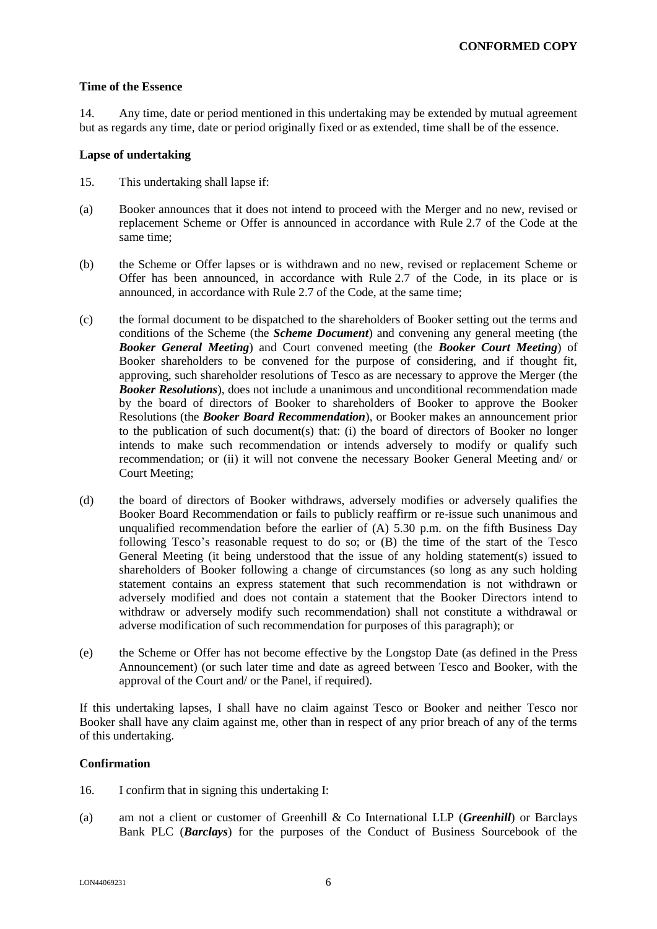## **Time of the Essence**

14. Any time, date or period mentioned in this undertaking may be extended by mutual agreement but as regards any time, date or period originally fixed or as extended, time shall be of the essence.

#### **Lapse of undertaking**

- 15. This undertaking shall lapse if:
- (a) Booker announces that it does not intend to proceed with the Merger and no new, revised or replacement Scheme or Offer is announced in accordance with Rule 2.7 of the Code at the same time;
- (b) the Scheme or Offer lapses or is withdrawn and no new, revised or replacement Scheme or Offer has been announced, in accordance with Rule 2.7 of the Code, in its place or is announced, in accordance with Rule 2.7 of the Code, at the same time;
- (c) the formal document to be dispatched to the shareholders of Booker setting out the terms and conditions of the Scheme (the *Scheme Document*) and convening any general meeting (the *Booker General Meeting*) and Court convened meeting (the *Booker Court Meeting*) of Booker shareholders to be convened for the purpose of considering, and if thought fit, approving, such shareholder resolutions of Tesco as are necessary to approve the Merger (the *Booker Resolutions*), does not include a unanimous and unconditional recommendation made by the board of directors of Booker to shareholders of Booker to approve the Booker Resolutions (the *Booker Board Recommendation*), or Booker makes an announcement prior to the publication of such document(s) that: (i) the board of directors of Booker no longer intends to make such recommendation or intends adversely to modify or qualify such recommendation; or (ii) it will not convene the necessary Booker General Meeting and/ or Court Meeting;
- (d) the board of directors of Booker withdraws, adversely modifies or adversely qualifies the Booker Board Recommendation or fails to publicly reaffirm or re-issue such unanimous and unqualified recommendation before the earlier of  $(A)$  5.30 p.m. on the fifth Business Day following Tesco's reasonable request to do so; or (B) the time of the start of the Tesco General Meeting (it being understood that the issue of any holding statement(s) issued to shareholders of Booker following a change of circumstances (so long as any such holding statement contains an express statement that such recommendation is not withdrawn or adversely modified and does not contain a statement that the Booker Directors intend to withdraw or adversely modify such recommendation) shall not constitute a withdrawal or adverse modification of such recommendation for purposes of this paragraph); or
- (e) the Scheme or Offer has not become effective by the Longstop Date (as defined in the Press Announcement) (or such later time and date as agreed between Tesco and Booker, with the approval of the Court and/ or the Panel, if required).

If this undertaking lapses, I shall have no claim against Tesco or Booker and neither Tesco nor Booker shall have any claim against me, other than in respect of any prior breach of any of the terms of this undertaking.

## **Confirmation**

- 16. I confirm that in signing this undertaking I:
- (a) am not a client or customer of Greenhill & Co International LLP (*Greenhill*) or Barclays Bank PLC (*Barclays*) for the purposes of the Conduct of Business Sourcebook of the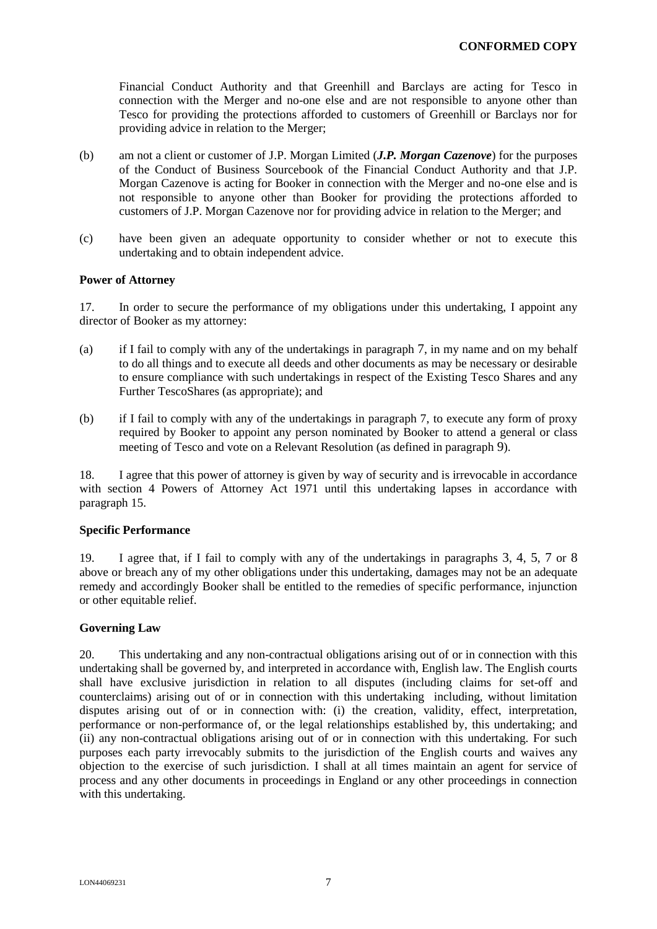Financial Conduct Authority and that Greenhill and Barclays are acting for Tesco in connection with the Merger and no-one else and are not responsible to anyone other than Tesco for providing the protections afforded to customers of Greenhill or Barclays nor for providing advice in relation to the Merger;

- (b) am not a client or customer of J.P. Morgan Limited (*J.P. Morgan Cazenove*) for the purposes of the Conduct of Business Sourcebook of the Financial Conduct Authority and that J.P. Morgan Cazenove is acting for Booker in connection with the Merger and no-one else and is not responsible to anyone other than Booker for providing the protections afforded to customers of J.P. Morgan Cazenove nor for providing advice in relation to the Merger; and
- (c) have been given an adequate opportunity to consider whether or not to execute this undertaking and to obtain independent advice.

## **Power of Attorney**

17. In order to secure the performance of my obligations under this undertaking, I appoint any director of Booker as my attorney:

- (a) if I fail to comply with any of the undertakings in paragraph 7, in my name and on my behalf to do all things and to execute all deeds and other documents as may be necessary or desirable to ensure compliance with such undertakings in respect of the Existing Tesco Shares and any Further TescoShares (as appropriate); and
- (b) if I fail to comply with any of the undertakings in paragraph 7, to execute any form of proxy required by Booker to appoint any person nominated by Booker to attend a general or class meeting of Tesco and vote on a Relevant Resolution (as defined in paragraph 9).

18. I agree that this power of attorney is given by way of security and is irrevocable in accordance with section 4 Powers of Attorney Act 1971 until this undertaking lapses in accordance with paragraph 15.

## **Specific Performance**

19. I agree that, if I fail to comply with any of the undertakings in paragraphs 3, 4, 5, 7 or 8 above or breach any of my other obligations under this undertaking, damages may not be an adequate remedy and accordingly Booker shall be entitled to the remedies of specific performance, injunction or other equitable relief.

## **Governing Law**

20. This undertaking and any non-contractual obligations arising out of or in connection with this undertaking shall be governed by, and interpreted in accordance with, English law. The English courts shall have exclusive jurisdiction in relation to all disputes (including claims for set-off and counterclaims) arising out of or in connection with this undertaking including, without limitation disputes arising out of or in connection with: (i) the creation, validity, effect, interpretation, performance or non-performance of, or the legal relationships established by, this undertaking; and (ii) any non-contractual obligations arising out of or in connection with this undertaking. For such purposes each party irrevocably submits to the jurisdiction of the English courts and waives any objection to the exercise of such jurisdiction. I shall at all times maintain an agent for service of process and any other documents in proceedings in England or any other proceedings in connection with this undertaking.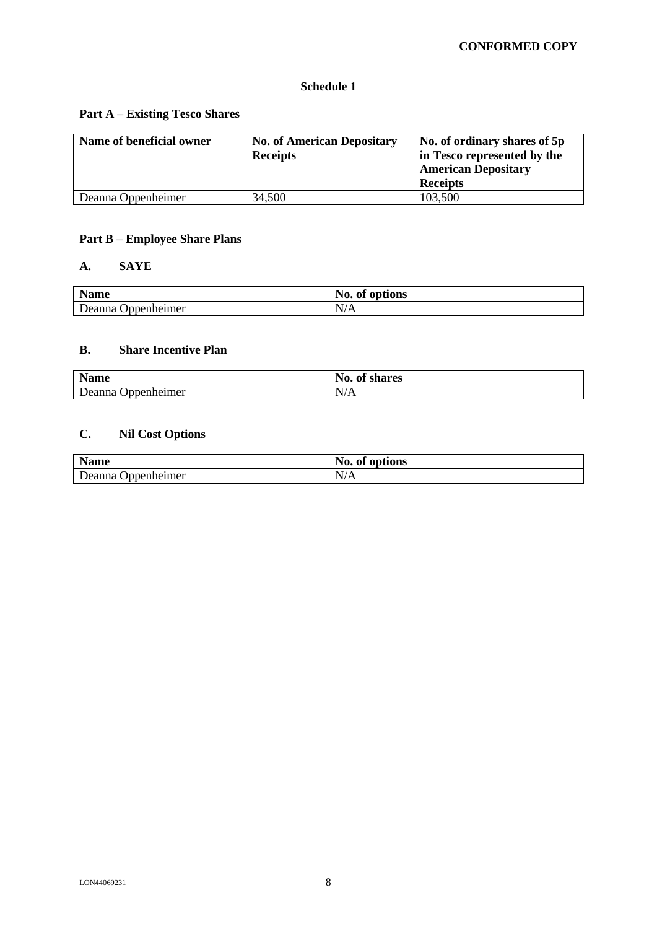## **Schedule 1**

## **Part A – Existing Tesco Shares**

| Name of beneficial owner | <b>No. of American Depositary</b><br><b>Receipts</b> | No. of ordinary shares of 5p<br>in Tesco represented by the<br><b>American Depositary</b><br><b>Receipts</b> |
|--------------------------|------------------------------------------------------|--------------------------------------------------------------------------------------------------------------|
| Deanna Oppenheimer       | 34,500                                               | 103,500                                                                                                      |

# **Part B – Employee Share Plans**

## **A. SAYE**

| Name               | No.<br>$\cdot$ .<br>options<br>0Ī<br>– Ul |
|--------------------|-------------------------------------------|
| Deanna             | $\mathbf{v}$                              |
| <i>Innenheimer</i> | N/A                                       |

## **B. Share Incentive Plan**

| <b>Name</b>                  | $\mathbf{v}$<br>A<br>$\mathbf{N}$ 0.<br>shares<br>0I |
|------------------------------|------------------------------------------------------|
| Deanna<br><b>Oppenheimer</b> | N/A                                                  |

# **C. Nil Cost Options**

| Nomo<br>Name | No.<br>. .<br>options<br>ot |
|--------------|-----------------------------|
| ) ppenheimer | $\mathbf{v}$                |
| Deanna       | N                           |
| <u>vu</u>    | 17 T T                      |